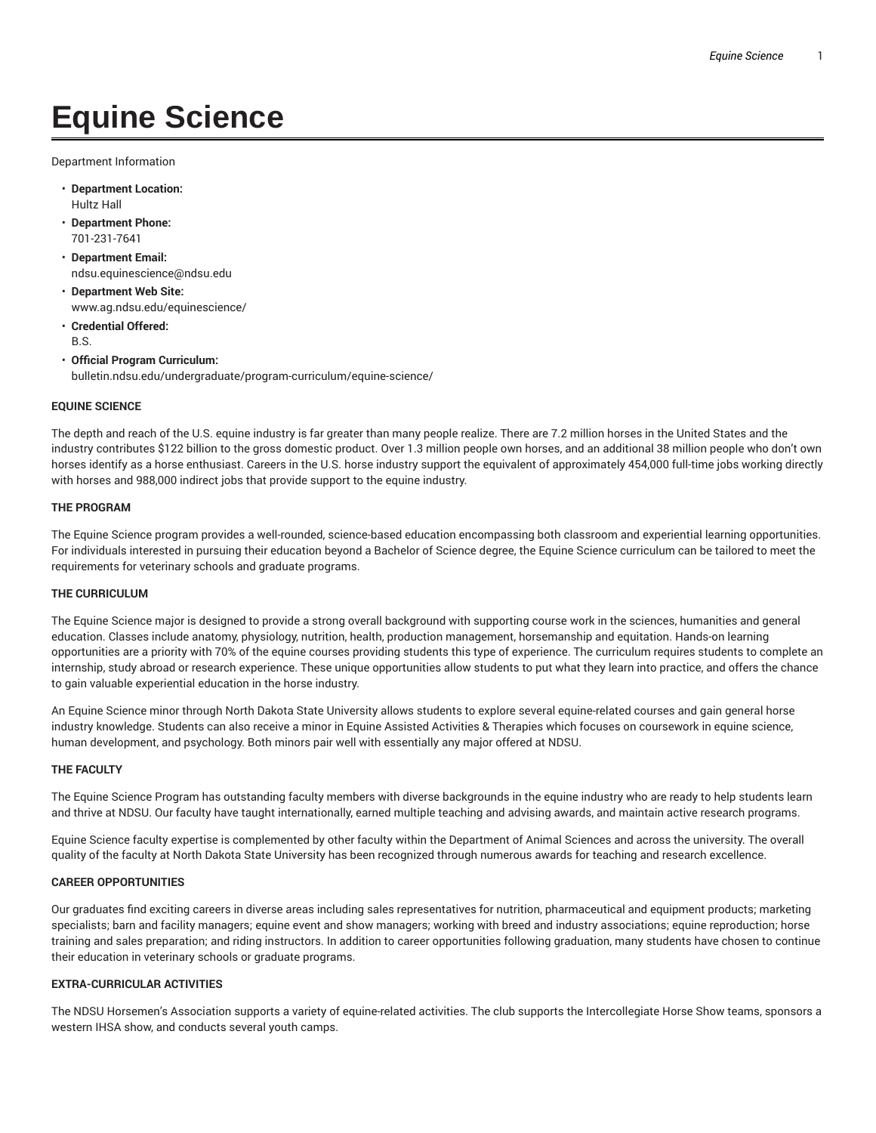# **Equine Science**

Department Information

- **Department Location:** Hultz Hall
- **Department Phone:** 701-231-7641
- **Department Email:** ndsu.equinescience@ndsu.edu
- **Department Web Site:** www.ag.ndsu.edu/equinescience/
- **Credential Offered:** B.S.
- **Official Program Curriculum:** bulletin.ndsu.edu/undergraduate/program-curriculum/equine-science/

# **EQUINE SCIENCE**

The depth and reach of the U.S. equine industry is far greater than many people realize. There are 7.2 million horses in the United States and the industry contributes \$122 billion to the gross domestic product. Over 1.3 million people own horses, and an additional 38 million people who don't own horses identify as a horse enthusiast. Careers in the U.S. horse industry support the equivalent of approximately 454,000 full-time jobs working directly with horses and 988,000 indirect jobs that provide support to the equine industry.

## **THE PROGRAM**

The Equine Science program provides a well-rounded, science-based education encompassing both classroom and experiential learning opportunities. For individuals interested in pursuing their education beyond a Bachelor of Science degree, the Equine Science curriculum can be tailored to meet the requirements for veterinary schools and graduate programs.

## **THE CURRICULUM**

The Equine Science major is designed to provide a strong overall background with supporting course work in the sciences, humanities and general education. Classes include anatomy, physiology, nutrition, health, production management, horsemanship and equitation. Hands-on learning opportunities are a priority with 70% of the equine courses providing students this type of experience. The curriculum requires students to complete an internship, study abroad or research experience. These unique opportunities allow students to put what they learn into practice, and offers the chance to gain valuable experiential education in the horse industry.

An Equine Science minor through North Dakota State University allows students to explore several equine-related courses and gain general horse industry knowledge. Students can also receive a minor in Equine Assisted Activities & Therapies which focuses on coursework in equine science, human development, and psychology. Both minors pair well with essentially any major offered at NDSU.

#### **THE FACULTY**

The Equine Science Program has outstanding faculty members with diverse backgrounds in the equine industry who are ready to help students learn and thrive at NDSU. Our faculty have taught internationally, earned multiple teaching and advising awards, and maintain active research programs.

Equine Science faculty expertise is complemented by other faculty within the Department of Animal Sciences and across the university. The overall quality of the faculty at North Dakota State University has been recognized through numerous awards for teaching and research excellence.

# **CAREER OPPORTUNITIES**

Our graduates find exciting careers in diverse areas including sales representatives for nutrition, pharmaceutical and equipment products; marketing specialists; barn and facility managers; equine event and show managers; working with breed and industry associations; equine reproduction; horse training and sales preparation; and riding instructors. In addition to career opportunities following graduation, many students have chosen to continue their education in veterinary schools or graduate programs.

# **EXTRA-CURRICULAR ACTIVITIES**

The NDSU Horsemen's Association supports a variety of equine-related activities. The club supports the Intercollegiate Horse Show teams, sponsors a western IHSA show, and conducts several youth camps.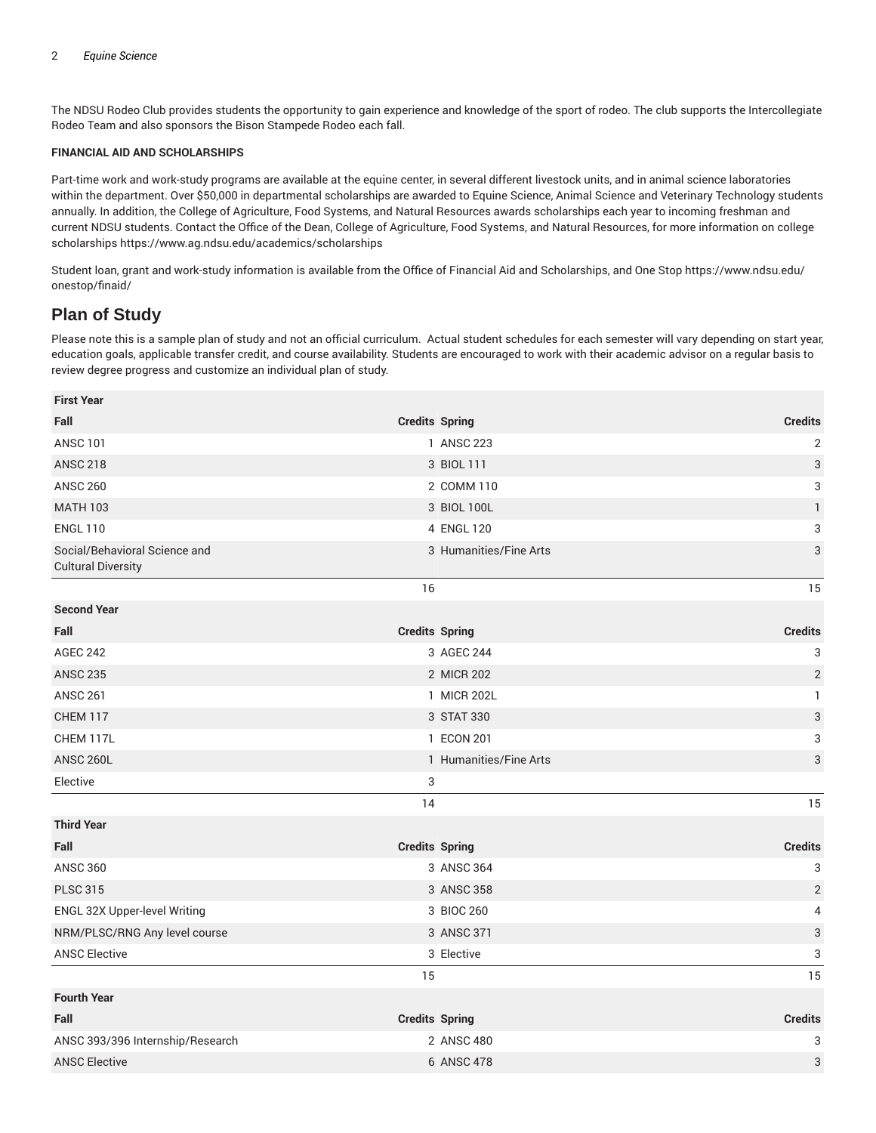The NDSU Rodeo Club provides students the opportunity to gain experience and knowledge of the sport of rodeo. The club supports the Intercollegiate Rodeo Team and also sponsors the Bison Stampede Rodeo each fall.

#### **FINANCIAL AID AND SCHOLARSHIPS**

Part-time work and work-study programs are available at the equine center, in several different livestock units, and in animal science laboratories within the department. Over \$50,000 in departmental scholarships are awarded to Equine Science, Animal Science and Veterinary Technology students annually. In addition, the College of Agriculture, Food Systems, and Natural Resources awards scholarships each year to incoming freshman and current NDSU students. Contact the Office of the Dean, College of Agriculture, Food Systems, and Natural Resources, for more information on college scholarships https://www.ag.ndsu.edu/academics/scholarships

Student loan, grant and work-study information is available from the Office of Financial Aid and Scholarships, and One Stop https://www.ndsu.edu/ onestop/finaid/

# **Plan of Study**

**First Year**

Please note this is a sample plan of study and not an official curriculum. Actual student schedules for each semester will vary depending on start year, education goals, applicable transfer credit, and course availability. Students are encouraged to work with their academic advisor on a regular basis to review degree progress and customize an individual plan of study.

| <b>Credits Spring</b>  | <b>Credits</b>            |
|------------------------|---------------------------|
| 1 ANSC 223             | $\sqrt{2}$                |
| 3 BIOL 111             | $\ensuremath{\mathsf{3}}$ |
| 2 COMM 110             | $\ensuremath{\mathsf{3}}$ |
| 3 BIOL 100L            | $\mathbf{1}$              |
| 4 ENGL 120             | 3                         |
| 3 Humanities/Fine Arts | 3                         |
| 16                     | 15                        |
|                        |                           |
| <b>Credits Spring</b>  | <b>Credits</b>            |
| 3 AGEC 244             | 3                         |
| 2 MICR 202             | $\mathbf{2}$              |
| 1 MICR 202L            | $\mathbf{1}$              |
| 3 STAT 330             | $\ensuremath{\mathsf{3}}$ |
| 1 ECON 201             | 3                         |
| 1 Humanities/Fine Arts | 3                         |
| 3                      |                           |
| 14                     | 15                        |
|                        |                           |
| <b>Credits Spring</b>  | <b>Credits</b>            |
| 3 ANSC 364             | $\ensuremath{\mathsf{3}}$ |
| 3 ANSC 358             | $\overline{2}$            |
| 3 BIOC 260             | $\overline{4}$            |
| 3 ANSC 371             | $\ensuremath{\mathsf{3}}$ |
| 3 Elective             | 3                         |
| 15                     | 15                        |
|                        |                           |
| <b>Credits Spring</b>  | <b>Credits</b>            |
| 2 ANSC 480             | 3                         |
| 6 ANSC 478             | 3                         |
|                        |                           |